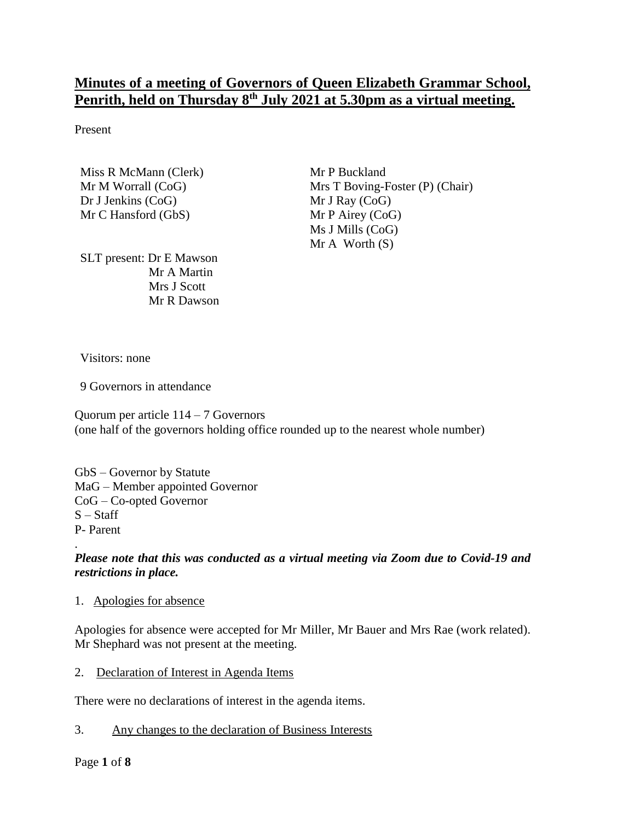# **Minutes of a meeting of Governors of Queen Elizabeth Grammar School, Penrith, held on Thursday 8 th July 2021 at 5.30pm as a virtual meeting.**

Present

Miss R McMann (Clerk) Mr M Worrall (CoG) Dr J Jenkins (CoG) Mr C Hansford (GbS)

Mr P Buckland Mrs T Boving-Foster (P) (Chair) Mr J Ray (CoG) Mr P Airey (CoG) Ms J Mills (CoG)  $Mr A Worth(S)$ 

SLT present: Dr E Mawson Mr A Martin Mrs J Scott Mr R Dawson

Visitors: none

9 Governors in attendance

Quorum per article 114 – 7 Governors (one half of the governors holding office rounded up to the nearest whole number)

GbS – Governor by Statute MaG – Member appointed Governor CoG – Co-opted Governor  $S - Staff$ P- Parent

# *Please note that this was conducted as a virtual meeting via Zoom due to Covid-19 and restrictions in place.*

#### 1. Apologies for absence

Apologies for absence were accepted for Mr Miller, Mr Bauer and Mrs Rae (work related). Mr Shephard was not present at the meeting.

2. Declaration of Interest in Agenda Items

There were no declarations of interest in the agenda items.

3. Any changes to the declaration of Business Interests

.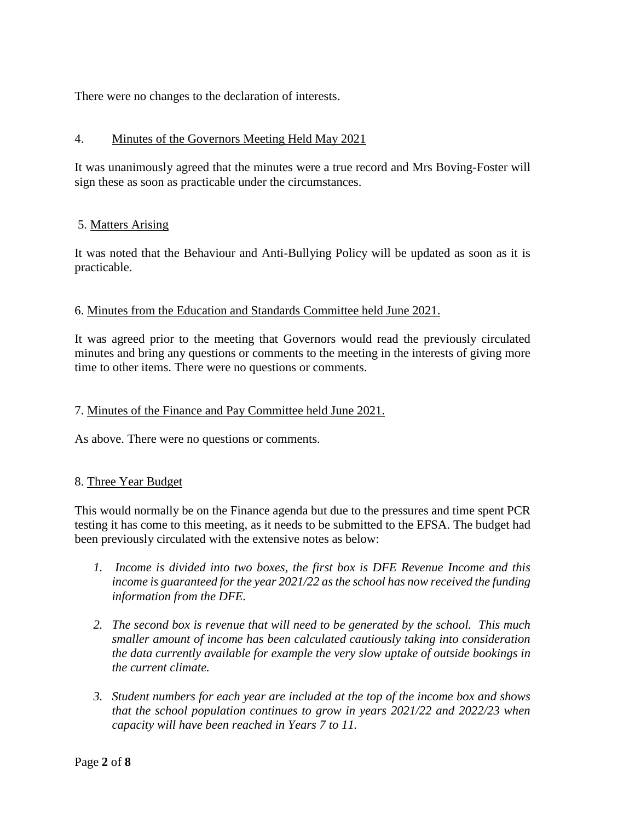There were no changes to the declaration of interests.

### 4. Minutes of the Governors Meeting Held May 2021

It was unanimously agreed that the minutes were a true record and Mrs Boving-Foster will sign these as soon as practicable under the circumstances.

#### 5. Matters Arising

It was noted that the Behaviour and Anti-Bullying Policy will be updated as soon as it is practicable.

### 6. Minutes from the Education and Standards Committee held June 2021.

It was agreed prior to the meeting that Governors would read the previously circulated minutes and bring any questions or comments to the meeting in the interests of giving more time to other items. There were no questions or comments.

### 7. Minutes of the Finance and Pay Committee held June 2021.

As above. There were no questions or comments.

#### 8. Three Year Budget

This would normally be on the Finance agenda but due to the pressures and time spent PCR testing it has come to this meeting, as it needs to be submitted to the EFSA. The budget had been previously circulated with the extensive notes as below:

- *1. Income is divided into two boxes, the first box is DFE Revenue Income and this income is guaranteed for the year 2021/22 as the school has now received the funding information from the DFE.*
- *2. The second box is revenue that will need to be generated by the school. This much smaller amount of income has been calculated cautiously taking into consideration the data currently available for example the very slow uptake of outside bookings in the current climate.*
- *3. Student numbers for each year are included at the top of the income box and shows that the school population continues to grow in years 2021/22 and 2022/23 when capacity will have been reached in Years 7 to 11.*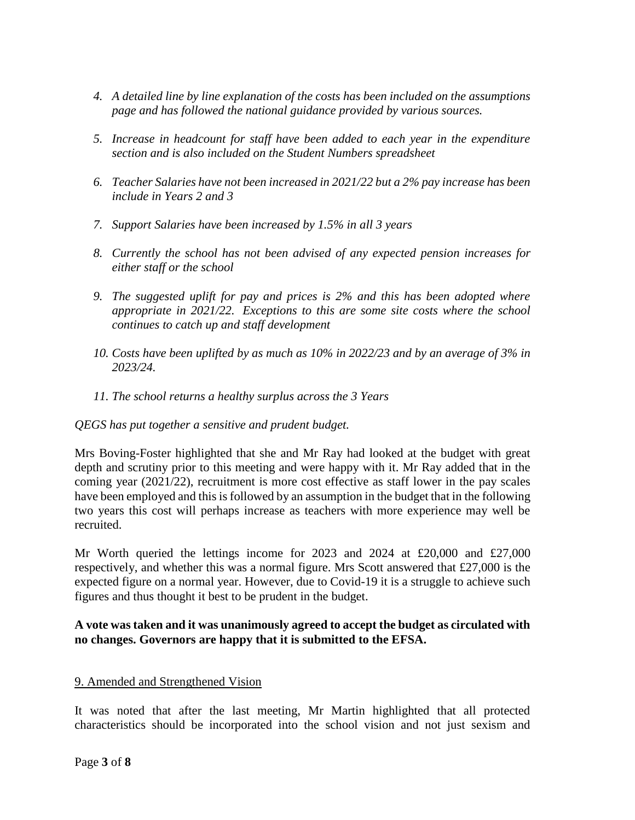- *4. A detailed line by line explanation of the costs has been included on the assumptions page and has followed the national guidance provided by various sources.*
- *5. Increase in headcount for staff have been added to each year in the expenditure section and is also included on the Student Numbers spreadsheet*
- *6. Teacher Salaries have not been increased in 2021/22 but a 2% pay increase has been include in Years 2 and 3*
- *7. Support Salaries have been increased by 1.5% in all 3 years*
- *8. Currently the school has not been advised of any expected pension increases for either staff or the school*
- *9. The suggested uplift for pay and prices is 2% and this has been adopted where appropriate in 2021/22. Exceptions to this are some site costs where the school continues to catch up and staff development*
- *10. Costs have been uplifted by as much as 10% in 2022/23 and by an average of 3% in 2023/24.*
- *11. The school returns a healthy surplus across the 3 Years*

# *QEGS has put together a sensitive and prudent budget.*

Mrs Boving-Foster highlighted that she and Mr Ray had looked at the budget with great depth and scrutiny prior to this meeting and were happy with it. Mr Ray added that in the coming year (2021/22), recruitment is more cost effective as staff lower in the pay scales have been employed and this is followed by an assumption in the budget that in the following two years this cost will perhaps increase as teachers with more experience may well be recruited.

Mr Worth queried the lettings income for 2023 and 2024 at £20,000 and £27,000 respectively, and whether this was a normal figure. Mrs Scott answered that £27,000 is the expected figure on a normal year. However, due to Covid-19 it is a struggle to achieve such figures and thus thought it best to be prudent in the budget.

### **A vote was taken and it was unanimously agreed to accept the budget as circulated with no changes. Governors are happy that it is submitted to the EFSA.**

#### 9. Amended and Strengthened Vision

It was noted that after the last meeting, Mr Martin highlighted that all protected characteristics should be incorporated into the school vision and not just sexism and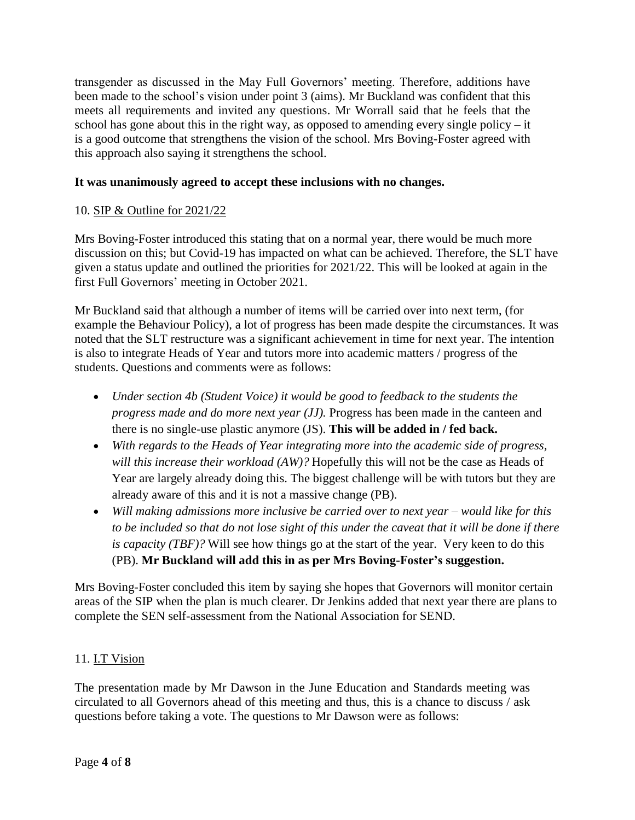transgender as discussed in the May Full Governors' meeting. Therefore, additions have been made to the school's vision under point 3 (aims). Mr Buckland was confident that this meets all requirements and invited any questions. Mr Worrall said that he feels that the school has gone about this in the right way, as opposed to amending every single policy – it is a good outcome that strengthens the vision of the school. Mrs Boving-Foster agreed with this approach also saying it strengthens the school.

# **It was unanimously agreed to accept these inclusions with no changes.**

# 10. SIP & Outline for 2021/22

Mrs Boving-Foster introduced this stating that on a normal year, there would be much more discussion on this; but Covid-19 has impacted on what can be achieved. Therefore, the SLT have given a status update and outlined the priorities for 2021/22. This will be looked at again in the first Full Governors' meeting in October 2021.

Mr Buckland said that although a number of items will be carried over into next term, (for example the Behaviour Policy), a lot of progress has been made despite the circumstances. It was noted that the SLT restructure was a significant achievement in time for next year. The intention is also to integrate Heads of Year and tutors more into academic matters / progress of the students. Questions and comments were as follows:

- *Under section 4b (Student Voice) it would be good to feedback to the students the progress made and do more next year (JJ).* Progress has been made in the canteen and there is no single-use plastic anymore (JS). **This will be added in / fed back.**
- *With regards to the Heads of Year integrating more into the academic side of progress, will this increase their workload (AW)?* Hopefully this will not be the case as Heads of Year are largely already doing this. The biggest challenge will be with tutors but they are already aware of this and it is not a massive change (PB).
- *Will making admissions more inclusive be carried over to next year – would like for this* to be included so that do not lose sight of this under the caveat that it will be done if there *is capacity (TBF)?* Will see how things go at the start of the year. Very keen to do this (PB). **Mr Buckland will add this in as per Mrs Boving-Foster's suggestion.**

Mrs Boving-Foster concluded this item by saying she hopes that Governors will monitor certain areas of the SIP when the plan is much clearer. Dr Jenkins added that next year there are plans to complete the SEN self-assessment from the National Association for SEND.

#### 11. I.T Vision

The presentation made by Mr Dawson in the June Education and Standards meeting was circulated to all Governors ahead of this meeting and thus, this is a chance to discuss / ask questions before taking a vote. The questions to Mr Dawson were as follows: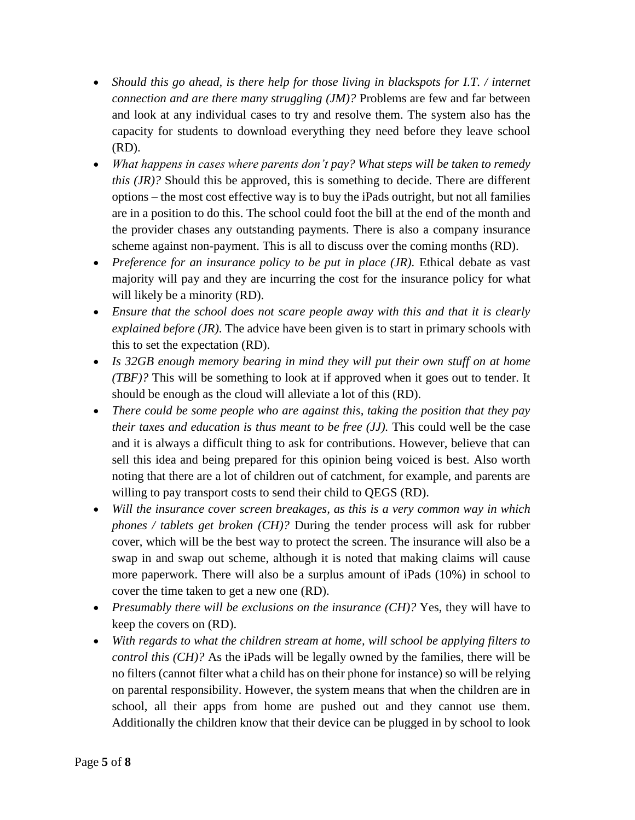- *Should this go ahead, is there help for those living in blackspots for I.T. / internet connection and are there many struggling (JM)?* Problems are few and far between and look at any individual cases to try and resolve them. The system also has the capacity for students to download everything they need before they leave school (RD).
- *What happens in cases where parents don't pay? What steps will be taken to remedy this (JR)?* Should this be approved, this is something to decide. There are different options – the most cost effective way is to buy the iPads outright, but not all families are in a position to do this. The school could foot the bill at the end of the month and the provider chases any outstanding payments. There is also a company insurance scheme against non-payment. This is all to discuss over the coming months (RD).
- Preference for an insurance policy to be put in place (JR). Ethical debate as vast majority will pay and they are incurring the cost for the insurance policy for what will likely be a minority (RD).
- *Ensure that the school does not scare people away with this and that it is clearly explained before (JR).* The advice have been given is to start in primary schools with this to set the expectation (RD).
- *Is 32GB enough memory bearing in mind they will put their own stuff on at home (TBF)?* This will be something to look at if approved when it goes out to tender. It should be enough as the cloud will alleviate a lot of this (RD).
- *There could be some people who are against this, taking the position that they pay their taxes and education is thus meant to be free (JJ).* This could well be the case and it is always a difficult thing to ask for contributions. However, believe that can sell this idea and being prepared for this opinion being voiced is best. Also worth noting that there are a lot of children out of catchment, for example, and parents are willing to pay transport costs to send their child to QEGS (RD).
- *Will the insurance cover screen breakages, as this is a very common way in which phones / tablets get broken (CH)?* During the tender process will ask for rubber cover, which will be the best way to protect the screen. The insurance will also be a swap in and swap out scheme, although it is noted that making claims will cause more paperwork. There will also be a surplus amount of iPads (10%) in school to cover the time taken to get a new one (RD).
- *Presumably there will be exclusions on the insurance (CH)?* Yes, they will have to keep the covers on (RD).
- *With regards to what the children stream at home, will school be applying filters to control this (CH)?* As the iPads will be legally owned by the families, there will be no filters (cannot filter what a child has on their phone for instance) so will be relying on parental responsibility. However, the system means that when the children are in school, all their apps from home are pushed out and they cannot use them. Additionally the children know that their device can be plugged in by school to look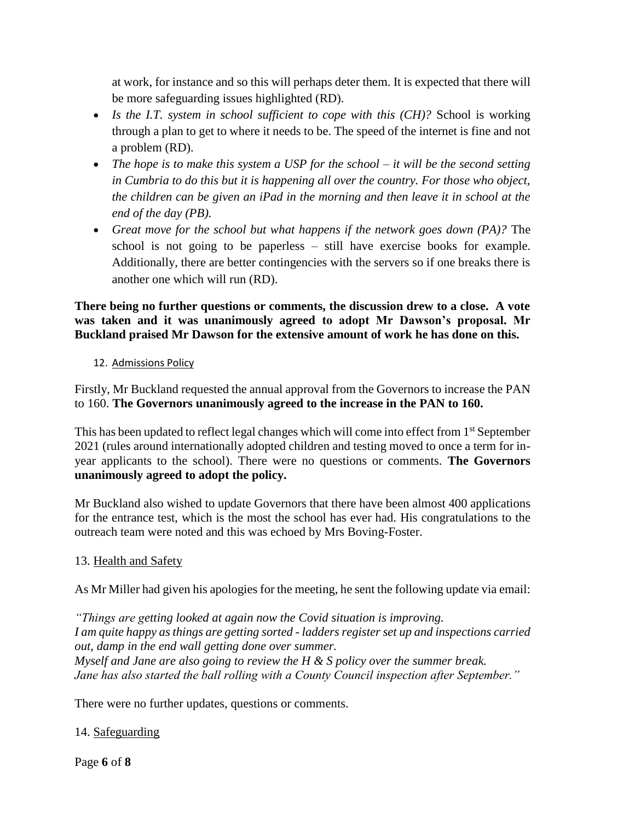at work, for instance and so this will perhaps deter them. It is expected that there will be more safeguarding issues highlighted (RD).

- Is the I.T. system in school sufficient to cope with this (CH)? School is working through a plan to get to where it needs to be. The speed of the internet is fine and not a problem (RD).
- *The hope is to make this system a USP for the school – it will be the second setting in Cumbria to do this but it is happening all over the country. For those who object, the children can be given an iPad in the morning and then leave it in school at the end of the day (PB).*
- *Great move for the school but what happens if the network goes down (PA)?* The school is not going to be paperless – still have exercise books for example. Additionally, there are better contingencies with the servers so if one breaks there is another one which will run (RD).

**There being no further questions or comments, the discussion drew to a close. A vote was taken and it was unanimously agreed to adopt Mr Dawson's proposal. Mr Buckland praised Mr Dawson for the extensive amount of work he has done on this.**

### 12. Admissions Policy

Firstly, Mr Buckland requested the annual approval from the Governors to increase the PAN to 160. **The Governors unanimously agreed to the increase in the PAN to 160.** 

This has been updated to reflect legal changes which will come into effect from 1<sup>st</sup> September 2021 (rules around internationally adopted children and testing moved to once a term for inyear applicants to the school). There were no questions or comments. **The Governors unanimously agreed to adopt the policy.**

Mr Buckland also wished to update Governors that there have been almost 400 applications for the entrance test, which is the most the school has ever had. His congratulations to the outreach team were noted and this was echoed by Mrs Boving-Foster.

# 13. Health and Safety

As Mr Miller had given his apologies for the meeting, he sent the following update via email:

*"Things are getting looked at again now the Covid situation is improving. I am quite happy as things are getting sorted - ladders register set up and inspections carried out, damp in the end wall getting done over summer. Myself and Jane are also going to review the H & S policy over the summer break. Jane has also started the ball rolling with a County Council inspection after September."*

There were no further updates, questions or comments.

# 14. Safeguarding

Page **6** of **8**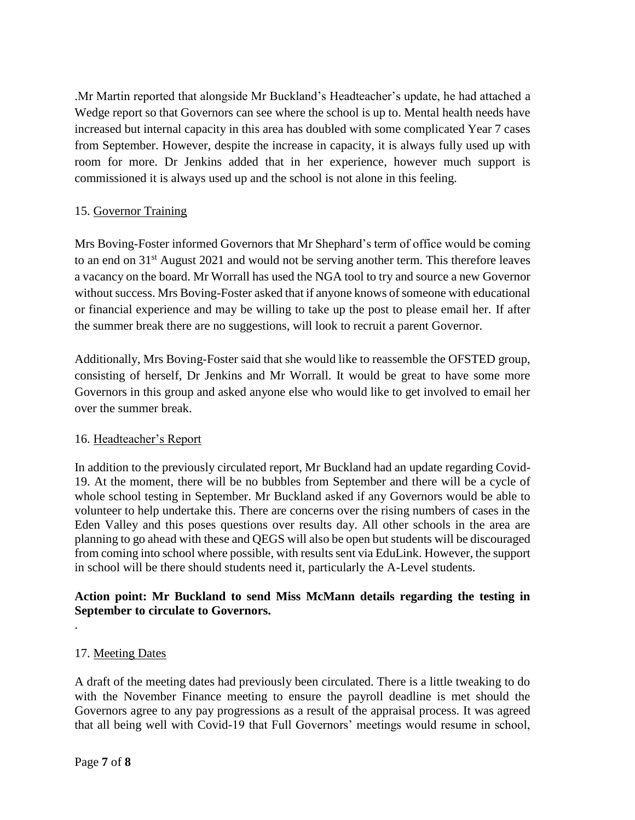.Mr Martin reported that alongside Mr Buckland's Headteacher's update, he had attached a Wedge report so that Governors can see where the school is up to. Mental health needs have increased but internal capacity in this area has doubled with some complicated Year 7 cases from September. However, despite the increase in capacity, it is always fully used up with room for more. Dr Jenkins added that in her experience, however much support is commissioned it is always used up and the school is not alone in this feeling.

# 15. Governor Training

Mrs Boving-Foster informed Governors that Mr Shephard's term of office would be coming to an end on 31<sup>st</sup> August 2021 and would not be serving another term. This therefore leaves a vacancy on the board. Mr Worrall has used the NGA tool to try and source a new Governor without success. Mrs Boving-Foster asked that if anyone knows of someone with educational or financial experience and may be willing to take up the post to please email her. If after the summer break there are no suggestions, will look to recruit a parent Governor.

Additionally, Mrs Boving-Foster said that she would like to reassemble the OFSTED group, consisting of herself, Dr Jenkins and Mr Worrall. It would be great to have some more Governors in this group and asked anyone else who would like to get involved to email her over the summer break.

#### 16. Headteacher's Report

In addition to the previously circulated report, Mr Buckland had an update regarding Covid-19. At the moment, there will be no bubbles from September and there will be a cycle of whole school testing in September. Mr Buckland asked if any Governors would be able to volunteer to help undertake this. There are concerns over the rising numbers of cases in the Eden Valley and this poses questions over results day. All other schools in the area are planning to go ahead with these and QEGS will also be open but students will be discouraged from coming into school where possible, with results sent via EduLink. However, the support in school will be there should students need it, particularly the A-Level students.

### **Action point: Mr Buckland to send Miss McMann details regarding the testing in September to circulate to Governors.**

#### 17. Meeting Dates

.

A draft of the meeting dates had previously been circulated. There is a little tweaking to do with the November Finance meeting to ensure the payroll deadline is met should the Governors agree to any pay progressions as a result of the appraisal process. It was agreed that all being well with Covid-19 that Full Governors' meetings would resume in school,